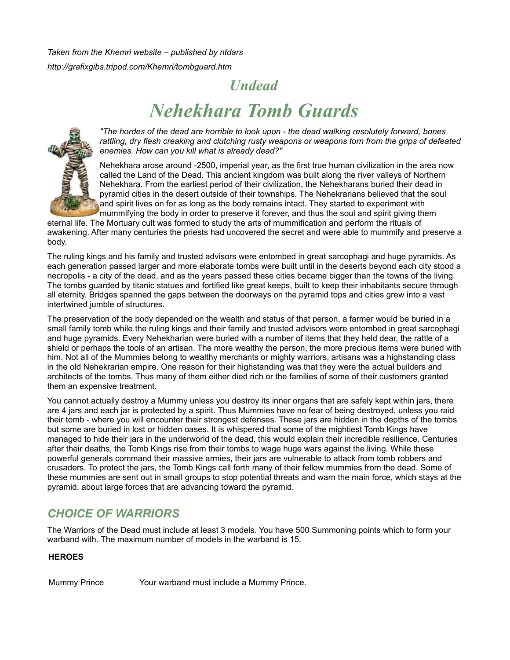*Taken from the Khemri website – published by ntdars http://grafixgibs.tripod.com/Khemri/tombguard.htm*

## *Undead*

# *Nehekhara Tomb Guards*



*"The hordes of the dead are horrible to look upon - the dead walking resolutely forward, bones rattling, dry flesh creaking and clutching rusty weapons or weapons torn from the grips of defeated enemies. How can you kill what is already dead?"*

Nehekhara arose around -2500, imperial year, as the first true human civilization in the area now called the Land of the Dead. This ancient kingdom was built along the river valleys of Northern Nehekhara. From the earliest period of their civilization, the Nehekharans buried their dead in pyramid cities in the desert outside of their townships. The Nehekrarians believed that the soul and spirit lives on for as long as the body remains intact. They started to experiment with mummifying the body in order to preserve it forever, and thus the soul and spirit giving them

eternal life. The Mortuary cult was formed to study the arts of mummification and perform the rituals of awakening. After many centuries the priests had uncovered the secret and were able to mummify and preserve a body.

The ruling kings and his family and trusted advisors were entombed in great sarcophagi and huge pyramids. As each generation passed larger and more elaborate tombs were built until in the deserts beyond each city stood a necropolis - a city of the dead, and as the years passed these cities became bigger than the towns of the living. The tombs guarded by titanic statues and fortified like great keeps, built to keep their inhabitants secure through all eternity. Bridges spanned the gaps between the doorways on the pyramid tops and cities grew into a vast intertwined jumble of structures.

The preservation of the body depended on the wealth and status of that person, a farmer would be buried in a small family tomb while the ruling kings and their family and trusted advisors were entombed in great sarcophagi and huge pyramids. Every Nehekharian were buried with a number of items that they held dear, the rattle of a shield or perhaps the tools of an artisan. The more wealthy the person, the more precious items were buried with him. Not all of the Mummies belong to wealthy merchants or mighty warriors, artisans was a highstanding class in the old Nehekrarian empire. One reason for their highstanding was that they were the actual builders and architects of the tombs. Thus many of them either died rich or the families of some of their customers granted them an expensive treatment.

You cannot actually destroy a Mummy unless you destroy its inner organs that are safely kept within jars, there are 4 jars and each jar is protected by a spirit. Thus Mummies have no fear of being destroyed, unless you raid their tomb - where you will encounter their strongest defenses. These jars are hidden in the depths of the tombs but some are buried in lost or hidden oases. It is whispered that some of the mightiest Tomb Kings have managed to hide their jars in the underworld of the dead, this would explain their incredible resilience. Centuries after their deaths, the Tomb Kings rise from their tombs to wage huge wars against the living. While these powerful generals command their massive armies, their jars are vulnerable to attack from tomb robbers and crusaders. To protect the jars, the Tomb Kings call forth many of their fellow mummies from the dead. Some of these mummies are sent out in small groups to stop potential threats and warn the main force, which stays at the pyramid, about large forces that are advancing toward the pyramid.

## *CHOICE OF WARRIORS*

The Warriors of the Dead must include at least 3 models. You have 500 Summoning points which to form your warband with. The maximum number of models in the warband is 15.

#### **HEROES**

Mummy Prince Your warband must include a Mummy Prince.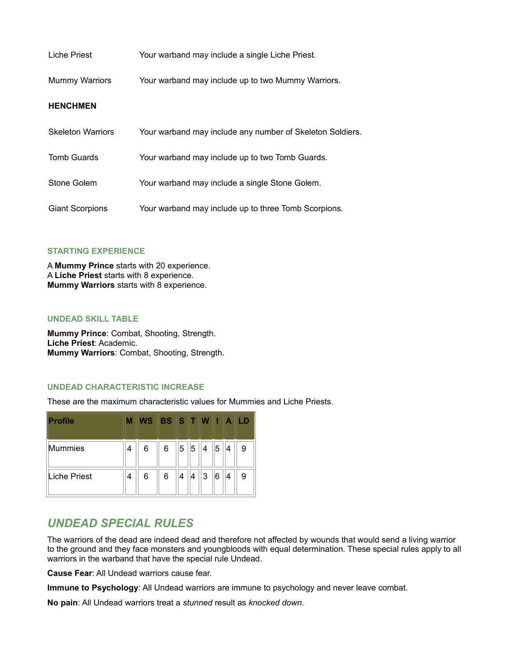| Liche Priest             | Your warband may include a single Liche Priest.           |
|--------------------------|-----------------------------------------------------------|
| <b>Mummy Warriors</b>    | Your warband may include up to two Mummy Warriors.        |
| <b>HENCHMEN</b>          |                                                           |
| <b>Skeleton Warriors</b> | Your warband may include any number of Skeleton Soldiers. |
| Tomb Guards              | Your warband may include up to two Tomb Guards.           |
| Stone Golem              | Your warband may include a single Stone Golem.            |
| <b>Giant Scorpions</b>   | Your warband may include up to three Tomb Scorpions.      |

#### **STARTING EXPERIENCE**

A **Mummy Prince** starts with 20 experience. A **Liche Priest** starts with 8 experience. **Mummy Warriors** starts with 8 experience.

#### **UNDEAD SKILL TABLE**

**Mummy Prince**: Combat, Shooting, Strength. **Liche Priest**: Academic. **Mummy Warriors**: Combat, Shooting, Strength.

#### **UNDEAD CHARACTERISTIC INCREASE**

These are the maximum characteristic values for Mummies and Liche Priests.

| <b>Profile</b>      | М | WS BS STW |   |   |   |   | W | $\blacktriangle$ |   |
|---------------------|---|-----------|---|---|---|---|---|------------------|---|
| <b>Mummies</b>      | 4 | 6         | 6 | 5 | 5 | 4 | 5 | 4                | 9 |
| <b>Liche Priest</b> | 4 | 6         | 6 | 4 | 4 | 3 | 6 | 4                | 9 |

## *UNDEAD SPECIAL RULES*

The warriors of the dead are indeed dead and therefore not affected by wounds that would send a living warrior to the ground and they face monsters and youngbloods with equal determination. These special rules apply to all warriors in the warband that have the special rule Undead.

**Cause Fear**: All Undead warriors cause fear.

**Immune to Psychology**: All Undead warriors are immune to psychology and never leave combat.

**No pain**: All Undead warriors treat a *stunned* result as *knocked down*.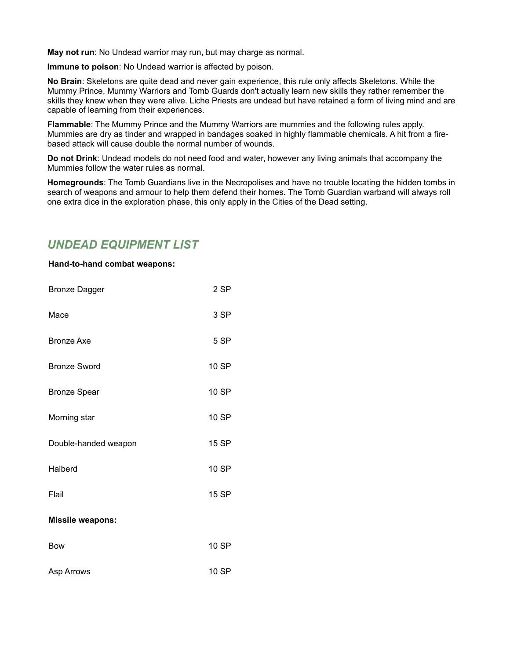**May not run**: No Undead warrior may run, but may charge as normal.

**Immune to poison**: No Undead warrior is affected by poison.

**No Brain**: Skeletons are quite dead and never gain experience, this rule only affects Skeletons. While the Mummy Prince, Mummy Warriors and Tomb Guards don't actually learn new skills they rather remember the skills they knew when they were alive. Liche Priests are undead but have retained a form of living mind and are capable of learning from their experiences.

**Flammable**: The Mummy Prince and the Mummy Warriors are mummies and the following rules apply. Mummies are dry as tinder and wrapped in bandages soaked in highly flammable chemicals. A hit from a firebased attack will cause double the normal number of wounds.

**Do not Drink**: Undead models do not need food and water, however any living animals that accompany the Mummies follow the water rules as normal.

**Homegrounds**: The Tomb Guardians live in the Necropolises and have no trouble locating the hidden tombs in search of weapons and armour to help them defend their homes. The Tomb Guardian warband will always roll one extra dice in the exploration phase, this only apply in the Cities of the Dead setting.

## *UNDEAD EQUIPMENT LIST*

#### **Hand-to-hand combat weapons:**

| <b>Bronze Dagger</b>    | 2 SP         |
|-------------------------|--------------|
| Mace                    | 3 SP         |
| <b>Bronze Axe</b>       | 5 SP         |
| <b>Bronze Sword</b>     | 10 SP        |
| <b>Bronze Spear</b>     | 10 SP        |
| Morning star            | 10 SP        |
| Double-handed weapon    | <b>15 SP</b> |
| Halberd                 | 10 SP        |
| Flail                   | 15 SP        |
| <b>Missile weapons:</b> |              |
| <b>Bow</b>              | 10 SP        |
| Asp Arrows              | 10 SP        |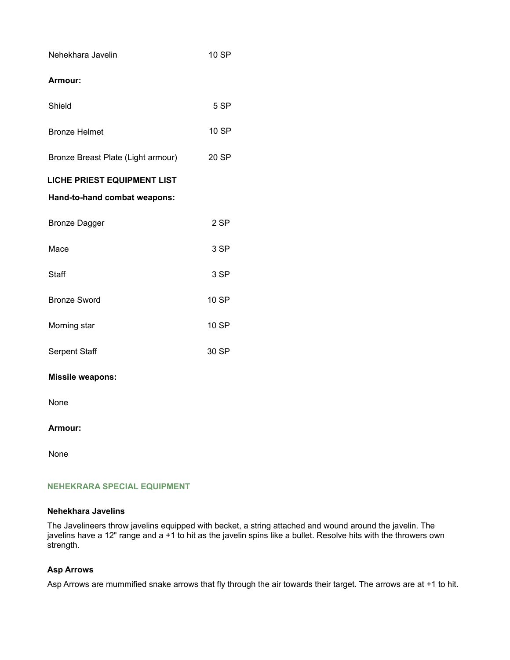| Nehekhara Javelin                  | 10 SP        |
|------------------------------------|--------------|
| Armour:                            |              |
| Shield                             | 5 SP         |
| <b>Bronze Helmet</b>               | <b>10 SP</b> |
| Bronze Breast Plate (Light armour) | 20 SP        |
| <b>LICHE PRIEST EQUIPMENT LIST</b> |              |
| Hand-to-hand combat weapons:       |              |
| <b>Bronze Dagger</b>               | 2 SP         |
| Mace                               | 3 SP         |
| <b>Staff</b>                       | 3 SP         |
| <b>Bronze Sword</b>                | 10 SP        |
| Morning star                       | <b>10 SP</b> |
| <b>Serpent Staff</b>               | 30 SP        |
| <b>Missile weapons:</b>            |              |
| None                               |              |

#### **Armour:**

None

#### **NEHEKRARA SPECIAL EQUIPMENT**

#### **Nehekhara Javelins**

The Javelineers throw javelins equipped with becket, a string attached and wound around the javelin. The javelins have a 12" range and a +1 to hit as the javelin spins like a bullet. Resolve hits with the throwers own strength.

#### **Asp Arrows**

Asp Arrows are mummified snake arrows that fly through the air towards their target. The arrows are at +1 to hit.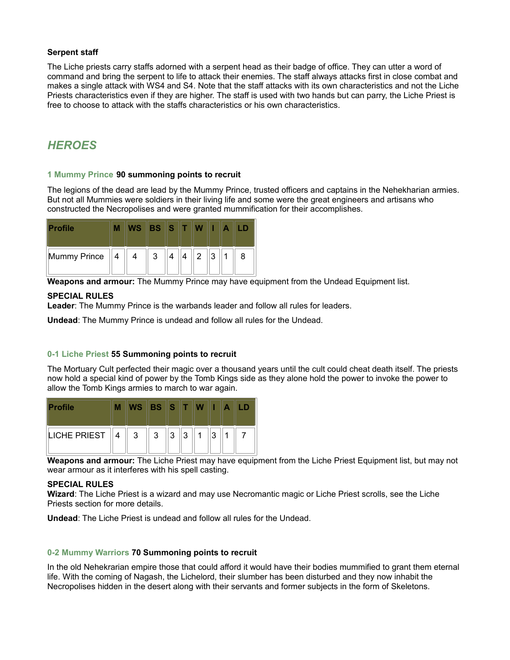#### **Serpent staff**

The Liche priests carry staffs adorned with a serpent head as their badge of office. They can utter a word of command and bring the serpent to life to attack their enemies. The staff always attacks first in close combat and makes a single attack with WS4 and S4. Note that the staff attacks with its own characteristics and not the Liche Priests characteristics even if they are higher. The staff is used with two hands but can parry, the Liche Priest is free to choose to attack with the staffs characteristics or his own characteristics.

## *HEROES*

#### **1 Mummy Prince 90 summoning points to recruit**

The legions of the dead are lead by the Mummy Prince, trusted officers and captains in the Nehekharian armies. But not all Mummies were soldiers in their living life and some were the great engineers and artisans who constructed the Necropolises and were granted mummification for their accomplishes.

| <b>Profile</b>            | <b>WS</b>     | <b>BS STW</b>                   |   |           |            |   |                |   |
|---------------------------|---------------|---------------------------------|---|-----------|------------|---|----------------|---|
| $\ $ Mummy Prince $\ 4\ $ | $\pm$ 4 $\pm$ | $^{\prime\prime}$ 3 $^{\prime}$ | 4 | $\Lambda$ | $\sqrt{2}$ | 3 | $\overline{1}$ | 8 |

**Weapons and armour:** The Mummy Prince may have equipment from the Undead Equipment list.

#### **SPECIAL RULES**

**Leader**: The Mummy Prince is the warbands leader and follow all rules for leaders.

**Undead**: The Mummy Prince is undead and follow all rules for the Undead.

#### **0-1 Liche Priest 55 Summoning points to recruit**

The Mortuary Cult perfected their magic over a thousand years until the cult could cheat death itself. The priests now hold a special kind of power by the Tomb Kings side as they alone hold the power to invoke the power to allow the Tomb Kings armies to march to war again.

| <b>Profile</b>                                     | M | WS BS ST WILA |                |  |   |  |
|----------------------------------------------------|---|---------------|----------------|--|---|--|
| $\parallel$ LICHE PRIEST $\parallel 4 \parallel 3$ |   |               | $\ 3\ 3\ 3\ 1$ |  | 3 |  |

**Weapons and armour:** The Liche Priest may have equipment from the Liche Priest Equipment list, but may not wear armour as it interferes with his spell casting.

#### **SPECIAL RULES**

**Wizard**: The Liche Priest is a wizard and may use Necromantic magic or Liche Priest scrolls, see the Liche Priests section for more details.

**Undead**: The Liche Priest is undead and follow all rules for the Undead.

#### **0-2 Mummy Warriors 70 Summoning points to recruit**

In the old Nehekrarian empire those that could afford it would have their bodies mummified to grant them eternal life. With the coming of Nagash, the Lichelord, their slumber has been disturbed and they now inhabit the Necropolises hidden in the desert along with their servants and former subjects in the form of Skeletons.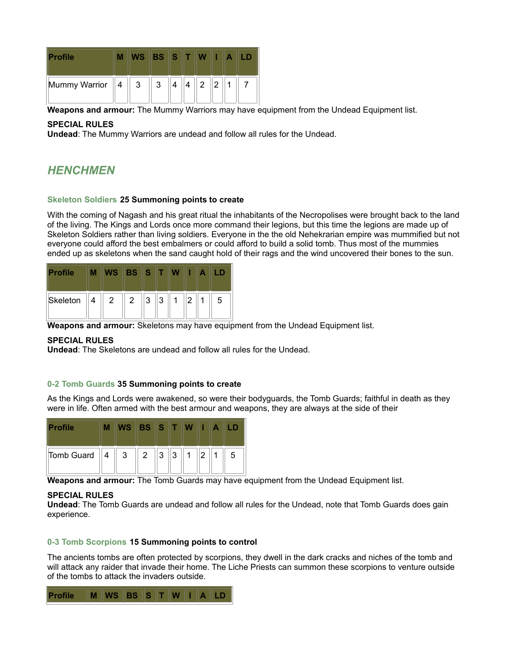| <b>Profile</b>                                    | М |                | WS BS ST WILA |   |                |       |  |  |
|---------------------------------------------------|---|----------------|---------------|---|----------------|-------|--|--|
| $\parallel$ Mummy Warrior $\parallel 4 \parallel$ |   | 3 <sup>1</sup> | 3             | 4 | $\overline{4}$ | $2$ 2 |  |  |

**Weapons and armour:** The Mummy Warriors may have equipment from the Undead Equipment list.

#### **SPECIAL RULES**

**Undead**: The Mummy Warriors are undead and follow all rules for the Undead.

## *HENCHMEN*

#### **Skeleton Soldiers 25 Summoning points to create**

With the coming of Nagash and his great ritual the inhabitants of the Necropolises were brought back to the land of the living. The Kings and Lords once more command their legions, but this time the legions are made up of Skeleton Soldiers rather than living soldiers. Everyone in the the old Nehekrarian empire was mummified but not everyone could afford the best embalmers or could afford to build a solid tomb. Thus most of the mummies ended up as skeletons when the sand caught hold of their rags and the wind uncovered their bones to the sun.

| <b>Profile</b>    | M | WS | <b>BS STWIIA</b>                        |  |   |   |
|-------------------|---|----|-----------------------------------------|--|---|---|
| Skeleton $  4  2$ |   |    | $2 \parallel 3 \parallel 3 \parallel 1$ |  | 2 | 5 |

**Weapons and armour:** Skeletons may have equipment from the Undead Equipment list.

#### **SPECIAL RULES**

**Undead**: The Skeletons are undead and follow all rules for the Undead.

#### **0-2 Tomb Guards 35 Summoning points to create**

As the Kings and Lords were awakened, so were their bodyguards, the Tomb Guards; faithful in death as they were in life. Often armed with the best armour and weapons, they are always at the side of their

| <b>Profile</b>                       |  | WS BS ST WIL |  |  |   |
|--------------------------------------|--|--------------|--|--|---|
| Tomb Guard $  4  3  2  3  3  1  2  $ |  |              |  |  | 5 |

**Weapons and armour:** The Tomb Guards may have equipment from the Undead Equipment list.

#### **SPECIAL RULES**

**Undead**: The Tomb Guards are undead and follow all rules for the Undead, note that Tomb Guards does gain experience.

#### **0-3 Tomb Scorpions 15 Summoning points to control**

The ancients tombs are often protected by scorpions, they dwell in the dark cracks and niches of the tomb and will attack any raider that invade their home. The Liche Priests can summon these scorpions to venture outside of the tombs to attack the invaders outside.

| Profile M WS BS S T W I A LD |  |
|------------------------------|--|
|------------------------------|--|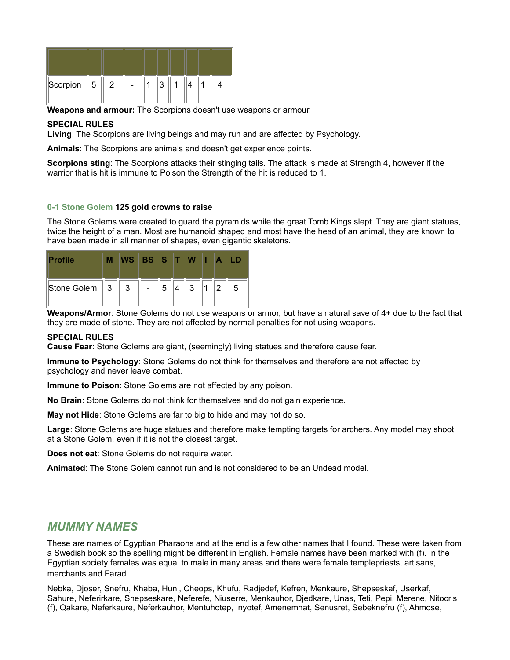| Scorpion $\parallel$ 5 | 2 |  | 2 |  |  |
|------------------------|---|--|---|--|--|

**Weapons and armour:** The Scorpions doesn't use weapons or armour.

#### **SPECIAL RULES**

**Living**: The Scorpions are living beings and may run and are affected by Psychology.

**Animals**: The Scorpions are animals and doesn't get experience points.

**Scorpions sting**: The Scorpions attacks their stinging tails. The attack is made at Strength 4, however if the warrior that is hit is immune to Poison the Strength of the hit is reduced to 1.

#### **0-1 Stone Golem 125 gold crowns to raise**

The Stone Golems were created to guard the pyramids while the great Tomb Kings slept. They are giant statues, twice the height of a man. Most are humanoid shaped and most have the head of an animal, they are known to have been made in all manner of shapes, even gigantic skeletons.

| <b>Profile</b>      | М |              | WS BS ST W |   |   |   |   |   |
|---------------------|---|--------------|------------|---|---|---|---|---|
| Stone Golem $  3  $ |   | $\mathbf{3}$ |            | 5 | 3 | 1 | 2 | 5 |

**Weapons/Armor**: Stone Golems do not use weapons or armor, but have a natural save of 4+ due to the fact that they are made of stone. They are not affected by normal penalties for not using weapons.

#### **SPECIAL RULES**

**Cause Fear**: Stone Golems are giant, (seemingly) living statues and therefore cause fear.

**Immune to Psychology**: Stone Golems do not think for themselves and therefore are not affected by psychology and never leave combat.

**Immune to Poison**: Stone Golems are not affected by any poison.

**No Brain**: Stone Golems do not think for themselves and do not gain experience.

**May not Hide**: Stone Golems are far to big to hide and may not do so.

**Large**: Stone Golems are huge statues and therefore make tempting targets for archers. Any model may shoot at a Stone Golem, even if it is not the closest target.

**Does not eat**: Stone Golems do not require water.

**Animated**: The Stone Golem cannot run and is not considered to be an Undead model.

### *MUMMY NAMES*

These are names of Egyptian Pharaohs and at the end is a few other names that I found. These were taken from a Swedish book so the spelling might be different in English. Female names have been marked with (f). In the Egyptian society females was equal to male in many areas and there were female templepriests, artisans, merchants and Farad.

Nebka, Djoser, Snefru, Khaba, Huni, Cheops, Khufu, Radjedef, Kefren, Menkaure, Shepseskaf, Userkaf, Sahure, Neferirkare, Shepseskare, Neferefe, Niuserre, Menkauhor, Djedkare, Unas, Teti, Pepi, Merene, Nitocris (f), Qakare, Neferkaure, Neferkauhor, Mentuhotep, Inyotef, Amenemhat, Senusret, Sebeknefru (f), Ahmose,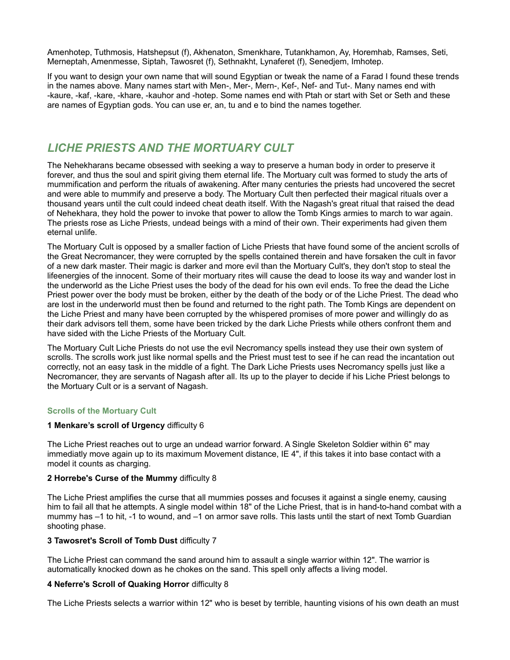Amenhotep, Tuthmosis, Hatshepsut (f), Akhenaton, Smenkhare, Tutankhamon, Ay, Horemhab, Ramses, Seti, Merneptah, Amenmesse, Siptah, Tawosret (f), Sethnakht, Lynaferet (f), Senedjem, Imhotep.

If you want to design your own name that will sound Egyptian or tweak the name of a Farad I found these trends in the names above. Many names start with Men-, Mer-, Mern-, Kef-, Nef- and Tut-. Many names end with -kaure, -kaf, -kare, -khare, -kauhor and -hotep. Some names end with Ptah or start with Set or Seth and these are names of Egyptian gods. You can use er, an, tu and e to bind the names together.

## *LICHE PRIESTS AND THE MORTUARY CULT*

The Nehekharans became obsessed with seeking a way to preserve a human body in order to preserve it forever, and thus the soul and spirit giving them eternal life. The Mortuary cult was formed to study the arts of mummification and perform the rituals of awakening. After many centuries the priests had uncovered the secret and were able to mummify and preserve a body. The Mortuary Cult then perfected their magical rituals over a thousand years until the cult could indeed cheat death itself. With the Nagash's great ritual that raised the dead of Nehekhara, they hold the power to invoke that power to allow the Tomb Kings armies to march to war again. The priests rose as Liche Priests, undead beings with a mind of their own. Their experiments had given them eternal unlife.

The Mortuary Cult is opposed by a smaller faction of Liche Priests that have found some of the ancient scrolls of the Great Necromancer, they were corrupted by the spells contained therein and have forsaken the cult in favor of a new dark master. Their magic is darker and more evil than the Mortuary Cult's, they don't stop to steal the lifeenergies of the innocent. Some of their mortuary rites will cause the dead to loose its way and wander lost in the underworld as the Liche Priest uses the body of the dead for his own evil ends. To free the dead the Liche Priest power over the body must be broken, either by the death of the body or of the Liche Priest. The dead who are lost in the underworld must then be found and returned to the right path. The Tomb Kings are dependent on the Liche Priest and many have been corrupted by the whispered promises of more power and willingly do as their dark advisors tell them, some have been tricked by the dark Liche Priests while others confront them and have sided with the Liche Priests of the Mortuary Cult.

The Mortuary Cult Liche Priests do not use the evil Necromancy spells instead they use their own system of scrolls. The scrolls work just like normal spells and the Priest must test to see if he can read the incantation out correctly, not an easy task in the middle of a fight. The Dark Liche Priests uses Necromancy spells just like a Necromancer, they are servants of Nagash after all. Its up to the player to decide if his Liche Priest belongs to the Mortuary Cult or is a servant of Nagash.

#### **Scrolls of the Mortuary Cult**

#### **1 Menkare's scroll of Urgency** difficulty 6

The Liche Priest reaches out to urge an undead warrior forward. A Single Skeleton Soldier within 6" may immediatly move again up to its maximum Movement distance, IE 4", if this takes it into base contact with a model it counts as charging.

#### **2 Horrebe's Curse of the Mummy** difficulty 8

The Liche Priest amplifies the curse that all mummies posses and focuses it against a single enemy, causing him to fail all that he attempts. A single model within 18" of the Liche Priest, that is in hand-to-hand combat with a mummy has –1 to hit, -1 to wound, and –1 on armor save rolls. This lasts until the start of next Tomb Guardian shooting phase.

#### **3 Tawosret's Scroll of Tomb Dust** difficulty 7

The Liche Priest can command the sand around him to assault a single warrior within 12". The warrior is automatically knocked down as he chokes on the sand. This spell only affects a living model.

#### **4 Neferre's Scroll of Quaking Horror** difficulty 8

The Liche Priests selects a warrior within 12" who is beset by terrible, haunting visions of his own death an must